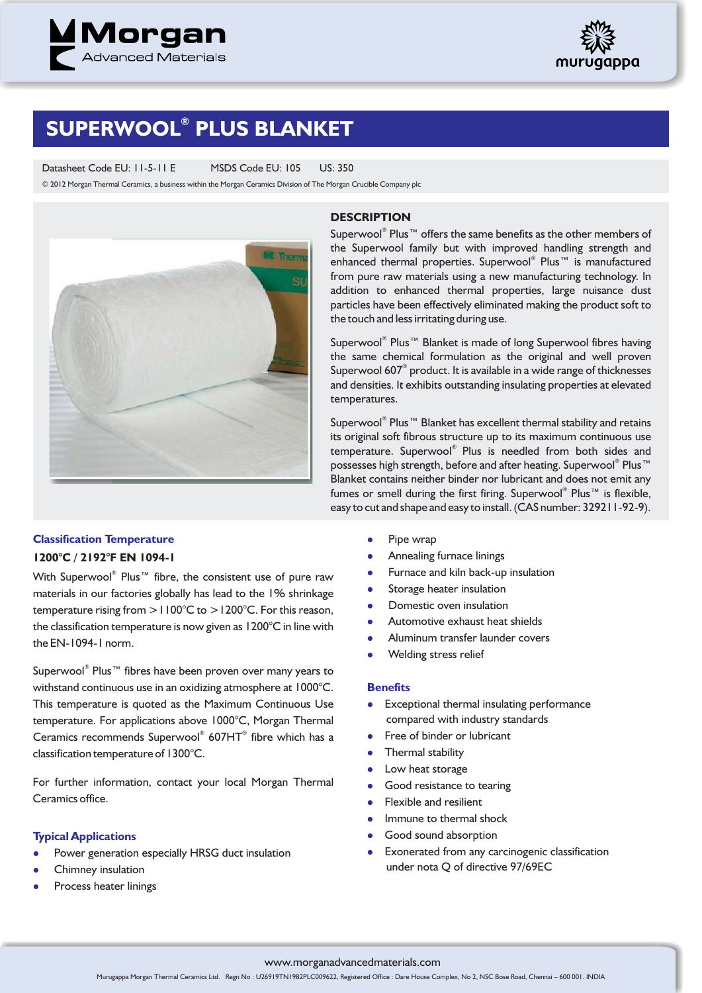



# $\mathsf{SUPERWOOL}^\circ$  PLUS BLANKET

Datasheet Code EU: 11-5-11 E MSDS Code EU: 105 US: 350

© 2012 Morgan Thermal Ceramics, a business within the Morgan Ceramics Division of The Morgan Crucible Company plc



#### **DESCRIPTION**

Superwool<sup>®</sup> Plus™ offers the same benefits as the other members of the Superwool family but with improved handling strength and enhanced thermal properties. Superwool® Plus™ is manufactured from pure raw materials using a new manufacturing technology. In addition to enhanced thermal properties, large nuisance dust particles have been effectively eliminated making the product soft to the touch and less irritating during use.

Superwool® Plus™ Blanket is made of long Superwool fibres having the same chemical formulation as the original and well proven Superwool 607 $^{\circ}$  product. It is available in a wide range of thicknesses and densities. It exhibits outstanding insulating properties at elevated temperatures.

Superwool® Plus™ Blanket has excellent thermal stability and retains its original soft fibrous structure up to its maximum continuous use temperature. Superwool® Plus is needled from both sides and possesses high strength, before and after heating. Superwool® Plus™ Blanket contains neither binder nor lubricant and does not emit any fumes or smell during the first firing. Superwool® Plus™ is flexible, easy to cut and shape and easy to install. (CAS number: 329211-92-9).

# **Classification Temperature**

# **1200°C / 2192°F EN 1094-1**

With Superwool® Plus™ fibre, the consistent use of pure raw materials in our factories globally has lead to the 1% shrinkage temperature rising from >1100°C to >1200°C. For this reason, the classification temperature is now given as 1200°C in line with the EN-1094-1 norm.

Superwool® Plus™ fibres have been proven over many years to withstand continuous use in an oxidizing atmosphere at 1000°C. This temperature is quoted as the Maximum Continuous Use temperature. For applications above 1000°C, Morgan Thermal Ceramics recommends Superwool® 607HT® fibre which has a classification temperature of 1300°C.

For further information, contact your local Morgan Thermal Ceramics office.

# **Typical Applications**

- $\bullet$ Power generation especially HRSG duct insulation
- $\bullet$ Chimney insulation
- $\bullet$ Process heater linings
- $\bullet$ Pipe wrap
- $\bullet$ Annealing furnace linings
- $\bullet$ Furnace and kiln back-up insulation
- $\bullet$ Storage heater insulation
- $\bullet$ Domestic oven insulation
- $\bullet$ Automotive exhaust heat shields
- $\bullet$ Aluminum transfer launder covers
- $\bullet$ Welding stress relief

### **Benefits**

- Exceptional thermal insulating performance compared with industry standards
- $\bullet$ Free of binder or lubricant
- $\bullet$ Thermal stability
- $\bullet$ Low heat storage
- $\bullet$ Good resistance to tearing
- $\bullet$ Flexible and resilient
- $\bullet$ Immune to thermal shock
- $\bullet$ Good sound absorption
- $\bullet$ Exonerated from any carcinogenic classification under nota Q of directive 97/69EC

### www.morganadvancedmaterials.com